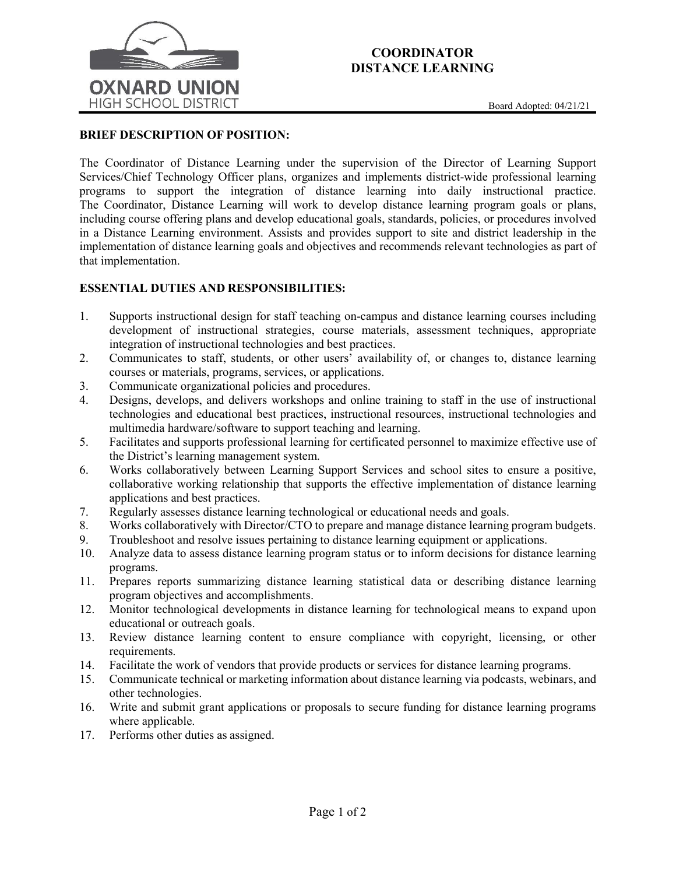

# **COORDINATOR DISTANCE LEARNING**

#### **BRIEF DESCRIPTION OF POSITION:**

The Coordinator of Distance Learning under the supervision of the Director of Learning Support Services/Chief Technology Officer plans, organizes and implements district-wide professional learning programs to support the integration of distance learning into daily instructional practice. The Coordinator, Distance Learning will work to develop distance learning program goals or plans, including course offering plans and develop educational goals, standards, policies, or procedures involved in a Distance Learning environment. Assists and provides support to site and district leadership in the implementation of distance learning goals and objectives and recommends relevant technologies as part of that implementation.

#### **ESSENTIAL DUTIES AND RESPONSIBILITIES:**

- 1. Supports instructional design for staff teaching on-campus and distance learning courses including development of instructional strategies, course materials, assessment techniques, appropriate integration of instructional technologies and best practices.
- 2. Communicates to staff, students, or other users' availability of, or changes to, distance learning courses or materials, programs, services, or applications.
- 3. Communicate organizational policies and procedures.
- 4. Designs, develops, and delivers workshops and online training to staff in the use of instructional technologies and educational best practices, instructional resources, instructional technologies and multimedia hardware/software to support teaching and learning.
- 5. Facilitates and supports professional learning for certificated personnel to maximize effective use of the District's learning management system.
- 6. Works collaboratively between Learning Support Services and school sites to ensure a positive, collaborative working relationship that supports the effective implementation of distance learning applications and best practices.
- 7. Regularly assesses distance learning technological or educational needs and goals.
- 8. Works collaboratively with Director/CTO to prepare and manage distance learning program budgets.
- 9. Troubleshoot and resolve issues pertaining to distance learning equipment or applications.
- 10. Analyze data to assess distance learning program status or to inform decisions for distance learning programs.
- 11. Prepares reports summarizing distance learning statistical data or describing distance learning program objectives and accomplishments.
- 12. Monitor technological developments in distance learning for technological means to expand upon educational or outreach goals.
- 13. Review distance learning content to ensure compliance with copyright, licensing, or other requirements.
- 14. Facilitate the work of vendors that provide products or services for distance learning programs.
- 15. Communicate technical or marketing information about distance learning via podcasts, webinars, and other technologies.
- 16. Write and submit grant applications or proposals to secure funding for distance learning programs where applicable.
- 17. Performs other duties as assigned.